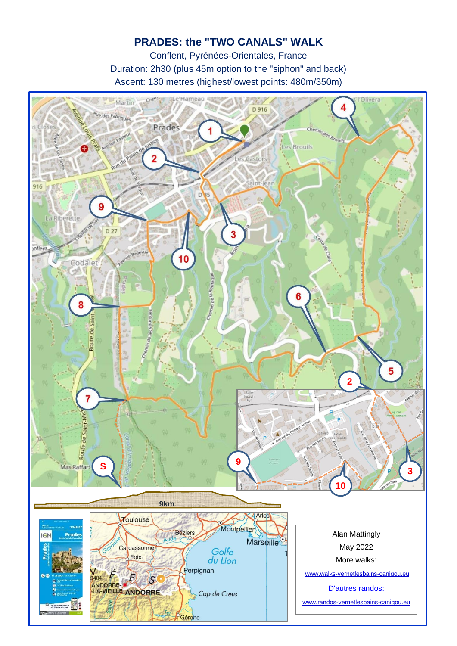## **PRADES: the "TWO CANALS" WALK**

Conflent, Pyrénées-Orientales, France Duration: 2h30 (plus 45m option to the "siphon" and back) Ascent: 130 metres (highest/lowest points: 480m/350m)

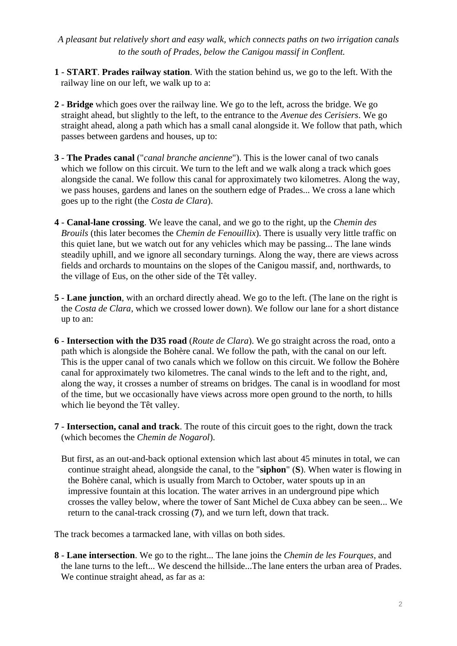*A pleasant but relatively short and easy walk, which connects paths on two irrigation canals to the south of Prades, below the Canigou massif in Conflent.*

- **1 START**. **Prades railway station**. With the station behind us, we go to the left. With the railway line on our left, we walk up to a:
- **2 Bridge** which goes over the railway line. We go to the left, across the bridge. We go straight ahead, but slightly to the left, to the entrance to the *Avenue des Cerisiers*. We go straight ahead, along a path which has a small canal alongside it. We follow that path, which passes between gardens and houses, up to:
- **3 The Prades canal** ("*canal branche ancienne*"). This is the lower canal of two canals which we follow on this circuit. We turn to the left and we walk along a track which goes alongside the canal. We follow this canal for approximately two kilometres. Along the way, we pass houses, gardens and lanes on the southern edge of Prades... We cross a lane which goes up to the right (the *Costa de Clara*).
- **4 Canal-lane crossing**. We leave the canal, and we go to the right, up the *Chemin des Brouils* (this later becomes the *Chemin de Fenouillix*). There is usually very little traffic on this quiet lane, but we watch out for any vehicles which may be passing... The lane winds steadily uphill, and we ignore all secondary turnings. Along the way, there are views across fields and orchards to mountains on the slopes of the Canigou massif, and, northwards, to the village of Eus, on the other side of the Têt valley.
- **5 Lane junction**, with an orchard directly ahead. We go to the left. (The lane on the right is the *Costa de Clara*, which we crossed lower down). We follow our lane for a short distance up to an:
- **6 Intersection with the D35 road** (*Route de Clara*). We go straight across the road, onto a path which is alongside the Bohère canal. We follow the path, with the canal on our left. This is the upper canal of two canals which we follow on this circuit. We follow the Bohère canal for approximately two kilometres. The canal winds to the left and to the right, and, along the way, it crosses a number of streams on bridges. The canal is in woodland for most of the time, but we occasionally have views across more open ground to the north, to hills which lie beyond the Têt valley.
- **7 Intersection, canal and track**. The route of this circuit goes to the right, down the track (which becomes the *Chemin de Nogarol*).
	- But first, as an out-and-back optional extension which last about 45 minutes in total, we can continue straight ahead, alongside the canal, to the "**siphon**" (**S**). When water is flowing in the Bohère canal, which is usually from March to October, water spouts up in an impressive fountain at this location. The water arrives in an underground pipe which crosses the valley below, where the tower of Sant Michel de Cuxa abbey can be seen... We return to the canal-track crossing (**7**), and we turn left, down that track.

The track becomes a tarmacked lane, with villas on both sides.

**8** - **Lane intersection**. We go to the right... The lane joins the *Chemin de les Fourques*, and the lane turns to the left... We descend the hillside...The lane enters the urban area of Prades. We continue straight ahead, as far as a: